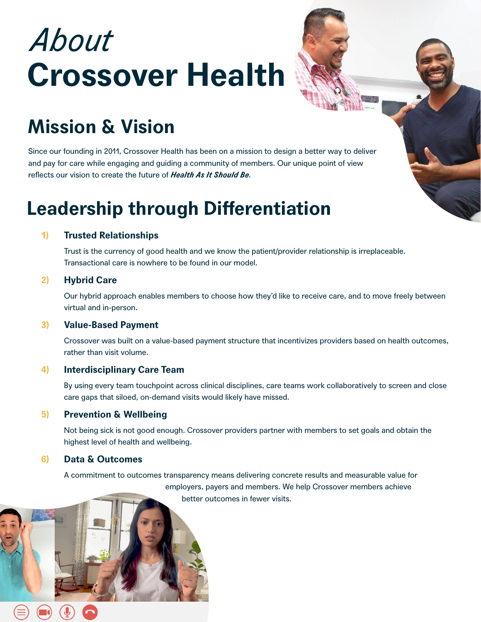# *About*  **Crossover Health**



Since our founding in 2011, Crossover Health has been on a mission to design a better way to deliver and pay for care while engaging and guiding a community of members. Our unique point of view reflects our vision to create the future of *Health As It Should Be.*

### **Leadership through Differentiation**

### **Trusted Relationships 1)**

Trust is the currency of good health and we know the patient/provider relationship is irreplaceable. Transactional care is nowhere to be found in our model.

### **Hybrid Care 2)**

Our hybrid approach enables members to choose how they'd like to receive care, and to move freely between virtual and in-person.

### **Value-Based Payment 3)**

Crossover was built on a value-based payment structure that incentivizes providers based on health outcomes, rather than visit volume.

### **Interdisciplinary Care Team 4)**

By using every team touchpoint across clinical disciplines, care teams work collaboratively to screen and close care gaps that siloed, on-demand visits would likely have missed.

### **Prevention & Wellbeing 5)**

Not being sick is not good enough. Crossover providers partner with members to set goals and obtain the highest level of health and wellbeing.

### **Data & Outcomes 6)**

A commitment to outcomes transparency means delivering concrete results and measurable value for employers, payers and members. We help Crossover members achieve better outcomes in fewer visits.